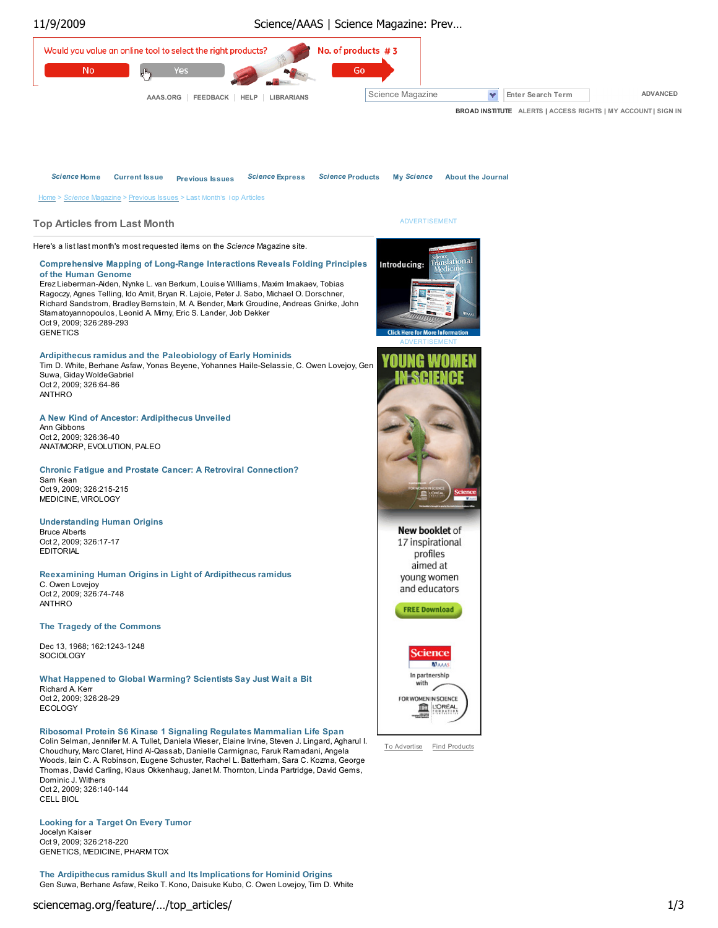

The Ardipithecus ramidus Skull and Its Implications for Hominid Origins Gen Suwa, Berhane Asfaw, Reiko T. Kono, Daisuke Kubo, C. Owen Lovejoy, Tim D. White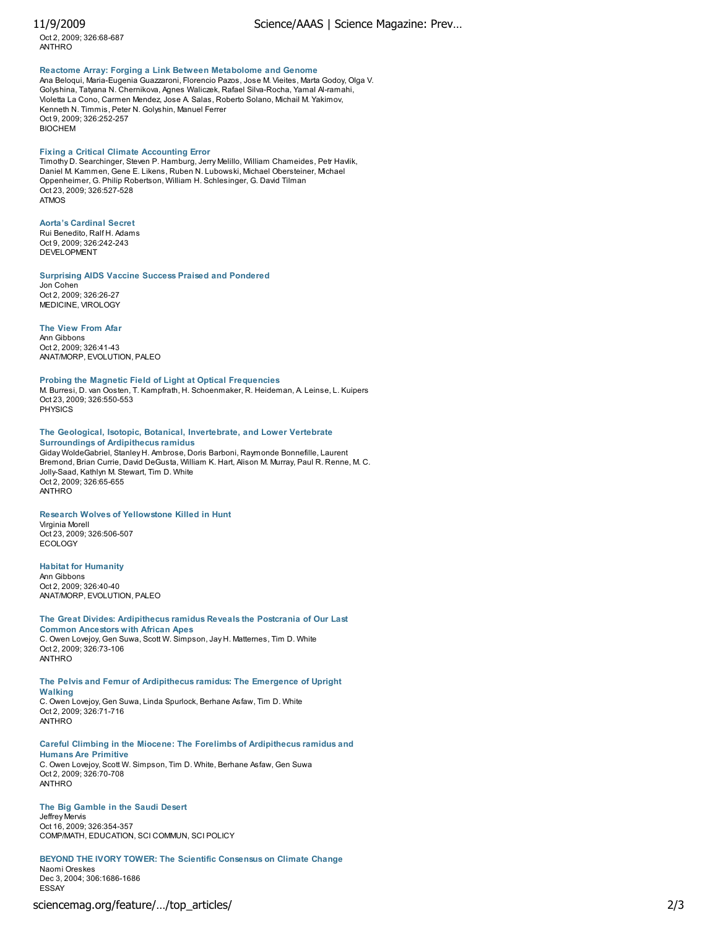Oct 2, 2009; 326:68-687 ANTHRO

# Reactome Array: Forging a Link Between Metabolome and Genome

Ana Beloqui, Maria-Eugenia Guazzaroni, Florencio Pazos, Jose M. Vieites, Marta Godoy, Olga V. Golyshina, Tatyana N. Chernikova, Agnes Waliczek, Rafael Silva-Rocha, Yamal Al-ramahi, Violetta La Cono, Carmen Mendez, Jose A. Salas, Roberto Solano, Michail M. Yakimov, Kenneth N. Timmis, Peter N. Golyshin, Manuel Ferrer Oct 9, 2009; 326:252-257 **BIOCHEM** 

#### Fixing a Critical Climate Accounting Error

Timothy D. Searchinger, Steven P. Hamburg, Jerry Melillo, William Chameides, Petr Havlik, Daniel M. Kammen, Gene E. Likens, Ruben N. Lubowski, Michael Obersteiner, Michael Oppenheimer, G. Philip Robertson, William H. Schlesinger, G. David Tilman Oct 23, 2009; 326:527-528 ATMOS

#### Aorta's Cardinal Secret

Rui Benedito, Ralf H. Adams Oct 9, 2009; 326:242-243 DEVELOPMENT

#### Surprising AIDS Vaccine Success Praised and Pondered

Jon Cohen Oct 2, 2009; 326:26-27 MEDICINE, VIROLOGY

#### The View From Afar Ann Gibbons Oct 2, 2009; 326:41-43 ANAT/MORP, EVOLUTION, PALEO

Probing the Magnetic Field of Light at Optical Frequencies

M. Burresi, D. van Oosten, T. Kampfrath, H. Schoenmaker, R. Heideman, A. Leinse, L. Kuipers Oct 23, 2009; 326:550-553 PHYSICS

#### The Geological, Isotopic, Botanical, Invertebrate, and Lower Vertebrate Surroundings of Ardipithecus ramidus

Giday WoldeGabriel, Stanley H. Ambrose, Doris Barboni, Raymonde Bonnefille, Laurent Bremond, Brian Currie, David DeGusta, William K. Hart, Alison M. Murray, Paul R. Renne, M. C. Jolly-Saad, Kathlyn M. Stewart, Tim D. White Oct 2, 2009; 326:65-655 ANTHRO

### Research Wolves of Yellowstone Killed in Hunt

Virginia Morell Oct 23, 2009; 326:506-507 **ECOLOGY** 

#### Habitat for Humanity

Ann Gibbons Oct 2, 2009; 326:40-40 ANAT/MORP, EVOLUTION, PALEO

#### The Great Divides: Ardipithecus ramidus Reveals the Postcrania of Our Last Common Ancestors with African Apes C. Owen Lovejoy, Gen Suwa, Scott W. Simpson, Jay H. Matternes, Tim D. White Oct 2, 2009; 326:73-106

ANTHRO

# The Pelvis and Femur of Ardipithecus ramidus: The Emergence of Upright

Walking C. Owen Lovejoy, Gen Suwa, Linda Spurlock, Berhane Asfaw, Tim D. White Oct 2, 2009; 326:71-716 ANTHRO

#### Careful Climbing in the Miocene: The Forelimbs of Ardipithecus ramidus and Humans Are Primitive

C. Owen Lovejoy, Scott W. Simpson, Tim D. White, Berhane Asfaw, Gen Suwa Oct 2, 2009; 326:70-708 ANTHRO

#### The Big Gamble in the Saudi Desert

Jeffrey Mervis Oct 16, 2009; 326:354-357 COMP/MATH, EDUCATION, SCI COMMUN, SCI POLICY

## BEYOND THE IVORY TOWER: The Scientific Consensus on Climate Change

Naomi Oreskes Dec 3, 2004; 306:1686-1686 ESSAY

# sciencemag.org/feature/…/top\_articles/ 2/3